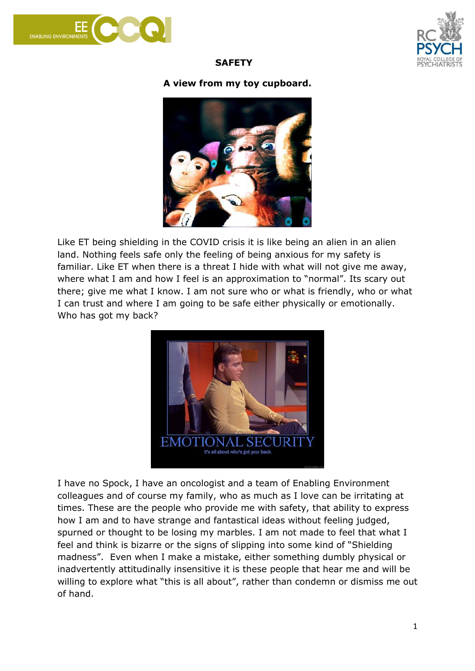



## **SAFETY**

## **A view from my toy cupboard.**



Like ET being shielding in the COVID crisis it is like being an alien in an alien land. Nothing feels safe only the feeling of being anxious for my safety is familiar. Like ET when there is a threat I hide with what will not give me away, where what I am and how I feel is an approximation to "normal". Its scary out there; give me what I know. I am not sure who or what is friendly, who or what I can trust and where I am going to be safe either physically or emotionally. Who has got my back?



I have no Spock, I have an oncologist and a team of Enabling Environment colleagues and of course my family, who as much as I love can be irritating at times. These are the people who provide me with safety, that ability to express how I am and to have strange and fantastical ideas without feeling judged, spurned or thought to be losing my marbles. I am not made to feel that what I feel and think is bizarre or the signs of slipping into some kind of "Shielding madness". Even when I make a mistake, either something dumbly physical or inadvertently attitudinally insensitive it is these people that hear me and will be willing to explore what "this is all about", rather than condemn or dismiss me out of hand.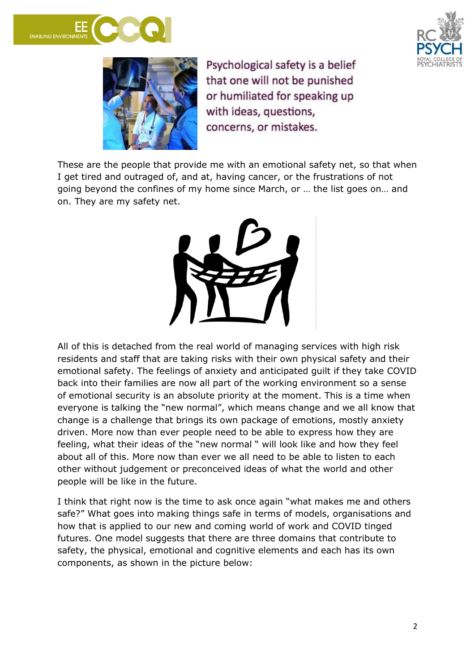





Psychological safety is a belief that one will not be punished or humiliated for speaking up with ideas, questions, concerns, or mistakes.

These are the people that provide me with an emotional safety net, so that when I get tired and outraged of, and at, having cancer, or the frustrations of not going beyond the confines of my home since March, or … the list goes on… and on. They are my safety net.



All of this is detached from the real world of managing services with high risk residents and staff that are taking risks with their own physical safety and their emotional safety. The feelings of anxiety and anticipated guilt if they take COVID back into their families are now all part of the working environment so a sense of emotional security is an absolute priority at the moment. This is a time when everyone is talking the "new normal", which means change and we all know that change is a challenge that brings its own package of emotions, mostly anxiety driven. More now than ever people need to be able to express how they are feeling, what their ideas of the "new normal " will look like and how they feel about all of this. More now than ever we all need to be able to listen to each other without judgement or preconceived ideas of what the world and other people will be like in the future.

I think that right now is the time to ask once again "what makes me and others safe?" What goes into making things safe in terms of models, organisations and how that is applied to our new and coming world of work and COVID tinged futures. One model suggests that there are three domains that contribute to safety, the physical, emotional and cognitive elements and each has its own components, as shown in the picture below: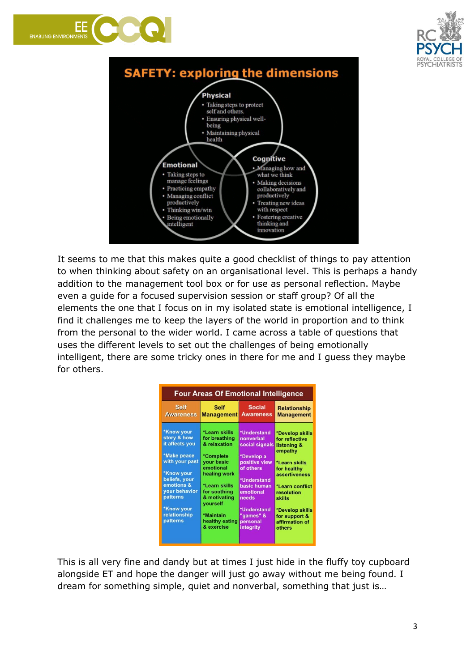





It seems to me that this makes quite a good checklist of things to pay attention to when thinking about safety on an organisational level. This is perhaps a handy addition to the management tool box or for use as personal reflection. Maybe even a guide for a focused supervision session or staff group? Of all the elements the one that I focus on in my isolated state is emotional intelligence, I find it challenges me to keep the layers of the world in proportion and to think from the personal to the wider world. I came across a table of questions that uses the different levels to set out the challenges of being emotionally intelligent, there are some tricky ones in there for me and I guess they maybe for others.

| <b>Four Areas Of Emotional Intelligence</b>                                                                                                                                                                           |                                                                                                                                                                                                                         |                                                                                                                                                                                                 |                                                                                                                                                                                                                                |
|-----------------------------------------------------------------------------------------------------------------------------------------------------------------------------------------------------------------------|-------------------------------------------------------------------------------------------------------------------------------------------------------------------------------------------------------------------------|-------------------------------------------------------------------------------------------------------------------------------------------------------------------------------------------------|--------------------------------------------------------------------------------------------------------------------------------------------------------------------------------------------------------------------------------|
| <b>Self</b><br><b>Awareness</b>                                                                                                                                                                                       | <b>Self</b><br><b>Management</b>                                                                                                                                                                                        | <b>Social</b><br><b>Awareness</b>                                                                                                                                                               | <b>Relationship</b><br><b>Management</b>                                                                                                                                                                                       |
| <b>*Know your</b><br>story & how<br>it affects you<br>*Make peace<br>with your past<br><b>*Know your</b><br>beliefs, your<br>emotions &<br><b>your behavior</b><br>patterns<br>*Know your<br>relationship<br>patterns | *Learn skills<br>for breathing<br>& relaxation<br>*Complete<br><b>your basic</b><br>emotional<br>healing work<br>*Learn skills<br>for soothing<br>& motivating<br>yourself<br>*Maintain<br>healthy eating<br>& exercise | *Understand<br>nonverbal<br>social signals<br>*Develop a<br>positive view<br>of others<br>*Understand<br>basic human<br>emotional<br>needs<br>*Understand<br>"games" &<br>personal<br>integrity | *Develop skills<br>for reflective<br>listening &<br>empathy<br>*Learn skills<br>for healthy<br><b>assertiveness</b><br>*Learn conflict<br>resolution<br>skills<br>*Develop skills<br>for support &<br>affirmation of<br>others |

This is all very fine and dandy but at times I just hide in the fluffy toy cupboard alongside ET and hope the danger will just go away without me being found. I dream for something simple, quiet and nonverbal, something that just is…